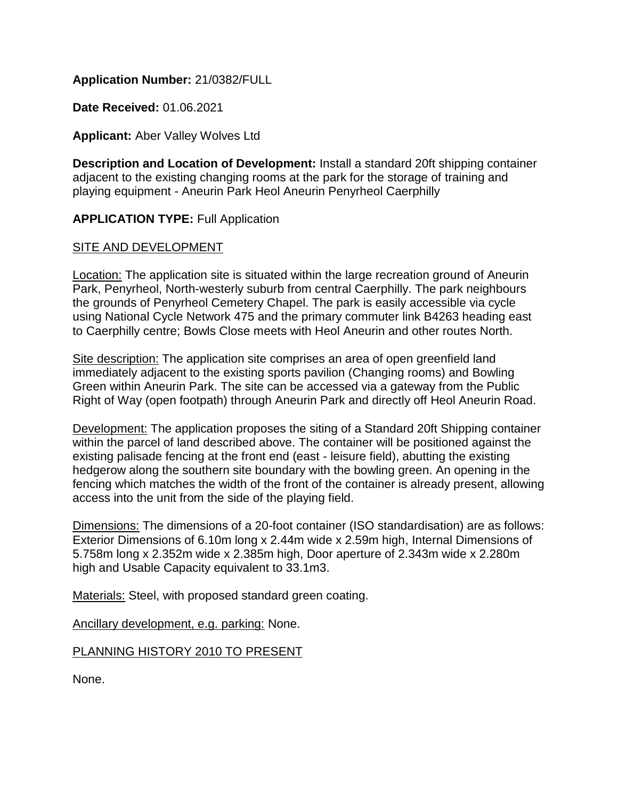# **Application Number:** 21/0382/FULL

**Date Received:** 01.06.2021

## **Applicant:** Aber Valley Wolves Ltd

**Description and Location of Development:** Install a standard 20ft shipping container adjacent to the existing changing rooms at the park for the storage of training and playing equipment - Aneurin Park Heol Aneurin Penyrheol Caerphilly

## **APPLICATION TYPE:** Full Application

#### SITE AND DEVELOPMENT

Location: The application site is situated within the large recreation ground of Aneurin Park, Penyrheol, North-westerly suburb from central Caerphilly. The park neighbours the grounds of Penyrheol Cemetery Chapel. The park is easily accessible via cycle using National Cycle Network 475 and the primary commuter link B4263 heading east to Caerphilly centre; Bowls Close meets with Heol Aneurin and other routes North.

Site description: The application site comprises an area of open greenfield land immediately adjacent to the existing sports pavilion (Changing rooms) and Bowling Green within Aneurin Park. The site can be accessed via a gateway from the Public Right of Way (open footpath) through Aneurin Park and directly off Heol Aneurin Road.

Development: The application proposes the siting of a Standard 20ft Shipping container within the parcel of land described above. The container will be positioned against the existing palisade fencing at the front end (east - leisure field), abutting the existing hedgerow along the southern site boundary with the bowling green. An opening in the fencing which matches the width of the front of the container is already present, allowing access into the unit from the side of the playing field.

Dimensions: The dimensions of a 20-foot container (ISO standardisation) are as follows: Exterior Dimensions of 6.10m long x 2.44m wide x 2.59m high, Internal Dimensions of 5.758m long x 2.352m wide x 2.385m high, Door aperture of 2.343m wide x 2.280m high and Usable Capacity equivalent to 33.1m3.

Materials: Steel, with proposed standard green coating.

Ancillary development, e.g. parking: None.

PLANNING HISTORY 2010 TO PRESENT

None.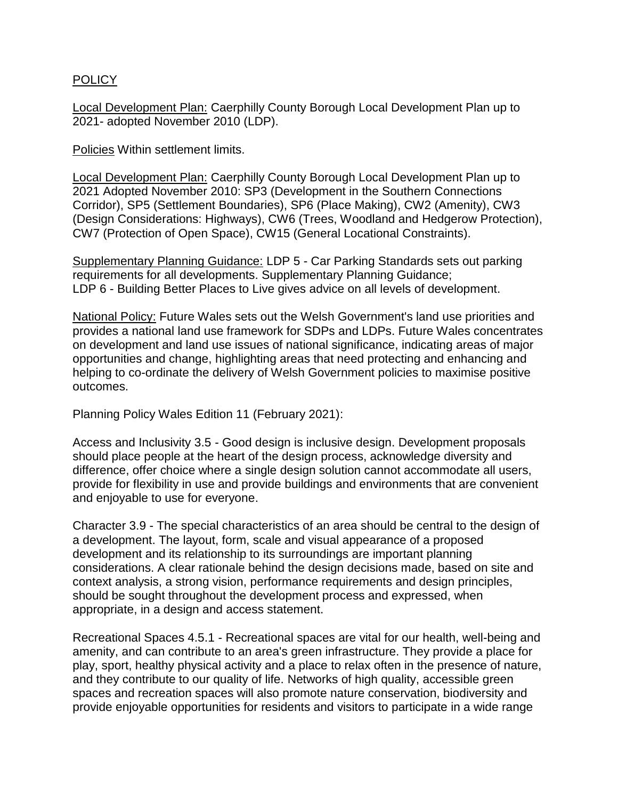## POLICY

Local Development Plan: Caerphilly County Borough Local Development Plan up to 2021- adopted November 2010 (LDP).

**Policies Within settlement limits.** 

Local Development Plan: Caerphilly County Borough Local Development Plan up to 2021 Adopted November 2010: SP3 (Development in the Southern Connections Corridor), SP5 (Settlement Boundaries), SP6 (Place Making), CW2 (Amenity), CW3 (Design Considerations: Highways), CW6 (Trees, Woodland and Hedgerow Protection), CW7 (Protection of Open Space), CW15 (General Locational Constraints).

Supplementary Planning Guidance: LDP 5 - Car Parking Standards sets out parking requirements for all developments. Supplementary Planning Guidance; LDP 6 - Building Better Places to Live gives advice on all levels of development.

National Policy: Future Wales sets out the Welsh Government's land use priorities and provides a national land use framework for SDPs and LDPs. Future Wales concentrates on development and land use issues of national significance, indicating areas of major opportunities and change, highlighting areas that need protecting and enhancing and helping to co-ordinate the delivery of Welsh Government policies to maximise positive outcomes.

Planning Policy Wales Edition 11 (February 2021):

Access and Inclusivity 3.5 - Good design is inclusive design. Development proposals should place people at the heart of the design process, acknowledge diversity and difference, offer choice where a single design solution cannot accommodate all users, provide for flexibility in use and provide buildings and environments that are convenient and enjoyable to use for everyone.

Character 3.9 - The special characteristics of an area should be central to the design of a development. The layout, form, scale and visual appearance of a proposed development and its relationship to its surroundings are important planning considerations. A clear rationale behind the design decisions made, based on site and context analysis, a strong vision, performance requirements and design principles, should be sought throughout the development process and expressed, when appropriate, in a design and access statement.

Recreational Spaces 4.5.1 - Recreational spaces are vital for our health, well-being and amenity, and can contribute to an area's green infrastructure. They provide a place for play, sport, healthy physical activity and a place to relax often in the presence of nature, and they contribute to our quality of life. Networks of high quality, accessible green spaces and recreation spaces will also promote nature conservation, biodiversity and provide enjoyable opportunities for residents and visitors to participate in a wide range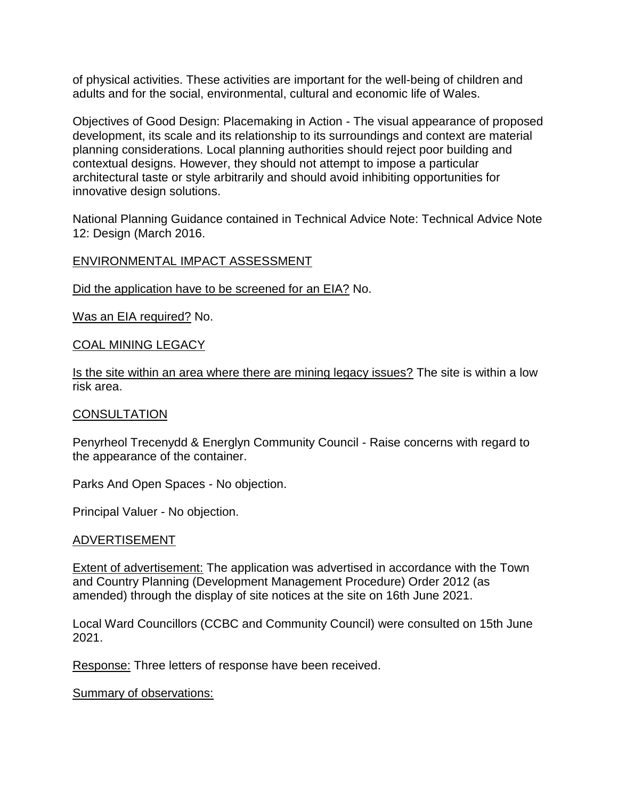of physical activities. These activities are important for the well-being of children and adults and for the social, environmental, cultural and economic life of Wales.

Objectives of Good Design: Placemaking in Action - The visual appearance of proposed development, its scale and its relationship to its surroundings and context are material planning considerations. Local planning authorities should reject poor building and contextual designs. However, they should not attempt to impose a particular architectural taste or style arbitrarily and should avoid inhibiting opportunities for innovative design solutions.

National Planning Guidance contained in Technical Advice Note: Technical Advice Note 12: Design (March 2016.

## ENVIRONMENTAL IMPACT ASSESSMENT

Did the application have to be screened for an EIA? No.

Was an EIA required? No.

## COAL MINING LEGACY

Is the site within an area where there are mining legacy issues? The site is within a low risk area.

#### **CONSULTATION**

Penyrheol Trecenydd & Energlyn Community Council - Raise concerns with regard to the appearance of the container.

Parks And Open Spaces - No objection.

Principal Valuer - No objection.

#### ADVERTISEMENT

Extent of advertisement: The application was advertised in accordance with the Town and Country Planning (Development Management Procedure) Order 2012 (as amended) through the display of site notices at the site on 16th June 2021.

Local Ward Councillors (CCBC and Community Council) were consulted on 15th June 2021.

Response: Three letters of response have been received.

Summary of observations: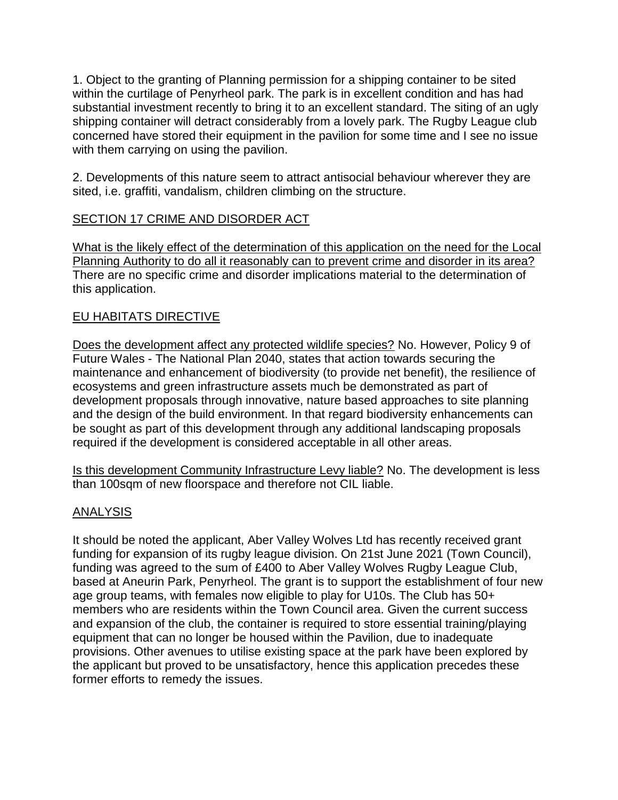1. Object to the granting of Planning permission for a shipping container to be sited within the curtilage of Penyrheol park. The park is in excellent condition and has had substantial investment recently to bring it to an excellent standard. The siting of an ugly shipping container will detract considerably from a lovely park. The Rugby League club concerned have stored their equipment in the pavilion for some time and I see no issue with them carrying on using the pavilion.

2. Developments of this nature seem to attract antisocial behaviour wherever they are sited, i.e. graffiti, vandalism, children climbing on the structure.

# SECTION 17 CRIME AND DISORDER ACT

What is the likely effect of the determination of this application on the need for the Local Planning Authority to do all it reasonably can to prevent crime and disorder in its area? There are no specific crime and disorder implications material to the determination of this application.

## EU HABITATS DIRECTIVE

Does the development affect any protected wildlife species? No. However, Policy 9 of Future Wales - The National Plan 2040, states that action towards securing the maintenance and enhancement of biodiversity (to provide net benefit), the resilience of ecosystems and green infrastructure assets much be demonstrated as part of development proposals through innovative, nature based approaches to site planning and the design of the build environment. In that regard biodiversity enhancements can be sought as part of this development through any additional landscaping proposals required if the development is considered acceptable in all other areas.

Is this development Community Infrastructure Levy liable? No. The development is less than 100sqm of new floorspace and therefore not CIL liable.

## ANALYSIS

It should be noted the applicant, Aber Valley Wolves Ltd has recently received grant funding for expansion of its rugby league division. On 21st June 2021 (Town Council), funding was agreed to the sum of £400 to Aber Valley Wolves Rugby League Club, based at Aneurin Park, Penyrheol. The grant is to support the establishment of four new age group teams, with females now eligible to play for U10s. The Club has 50+ members who are residents within the Town Council area. Given the current success and expansion of the club, the container is required to store essential training/playing equipment that can no longer be housed within the Pavilion, due to inadequate provisions. Other avenues to utilise existing space at the park have been explored by the applicant but proved to be unsatisfactory, hence this application precedes these former efforts to remedy the issues.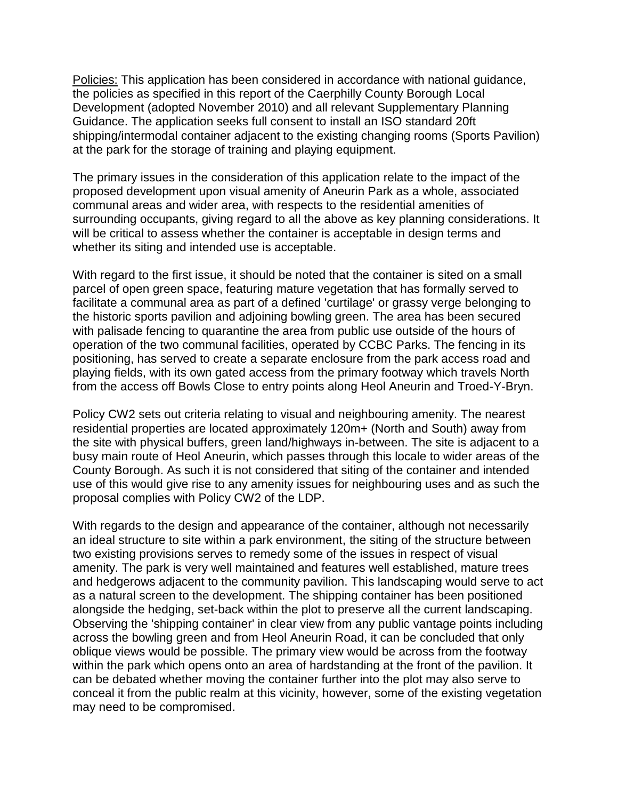Policies: This application has been considered in accordance with national guidance, the policies as specified in this report of the Caerphilly County Borough Local Development (adopted November 2010) and all relevant Supplementary Planning Guidance. The application seeks full consent to install an ISO standard 20ft shipping/intermodal container adjacent to the existing changing rooms (Sports Pavilion) at the park for the storage of training and playing equipment.

The primary issues in the consideration of this application relate to the impact of the proposed development upon visual amenity of Aneurin Park as a whole, associated communal areas and wider area, with respects to the residential amenities of surrounding occupants, giving regard to all the above as key planning considerations. It will be critical to assess whether the container is acceptable in design terms and whether its siting and intended use is acceptable.

With regard to the first issue, it should be noted that the container is sited on a small parcel of open green space, featuring mature vegetation that has formally served to facilitate a communal area as part of a defined 'curtilage' or grassy verge belonging to the historic sports pavilion and adjoining bowling green. The area has been secured with palisade fencing to quarantine the area from public use outside of the hours of operation of the two communal facilities, operated by CCBC Parks. The fencing in its positioning, has served to create a separate enclosure from the park access road and playing fields, with its own gated access from the primary footway which travels North from the access off Bowls Close to entry points along Heol Aneurin and Troed-Y-Bryn.

Policy CW2 sets out criteria relating to visual and neighbouring amenity. The nearest residential properties are located approximately 120m+ (North and South) away from the site with physical buffers, green land/highways in-between. The site is adjacent to a busy main route of Heol Aneurin, which passes through this locale to wider areas of the County Borough. As such it is not considered that siting of the container and intended use of this would give rise to any amenity issues for neighbouring uses and as such the proposal complies with Policy CW2 of the LDP.

With regards to the design and appearance of the container, although not necessarily an ideal structure to site within a park environment, the siting of the structure between two existing provisions serves to remedy some of the issues in respect of visual amenity. The park is very well maintained and features well established, mature trees and hedgerows adjacent to the community pavilion. This landscaping would serve to act as a natural screen to the development. The shipping container has been positioned alongside the hedging, set-back within the plot to preserve all the current landscaping. Observing the 'shipping container' in clear view from any public vantage points including across the bowling green and from Heol Aneurin Road, it can be concluded that only oblique views would be possible. The primary view would be across from the footway within the park which opens onto an area of hardstanding at the front of the pavilion. It can be debated whether moving the container further into the plot may also serve to conceal it from the public realm at this vicinity, however, some of the existing vegetation may need to be compromised.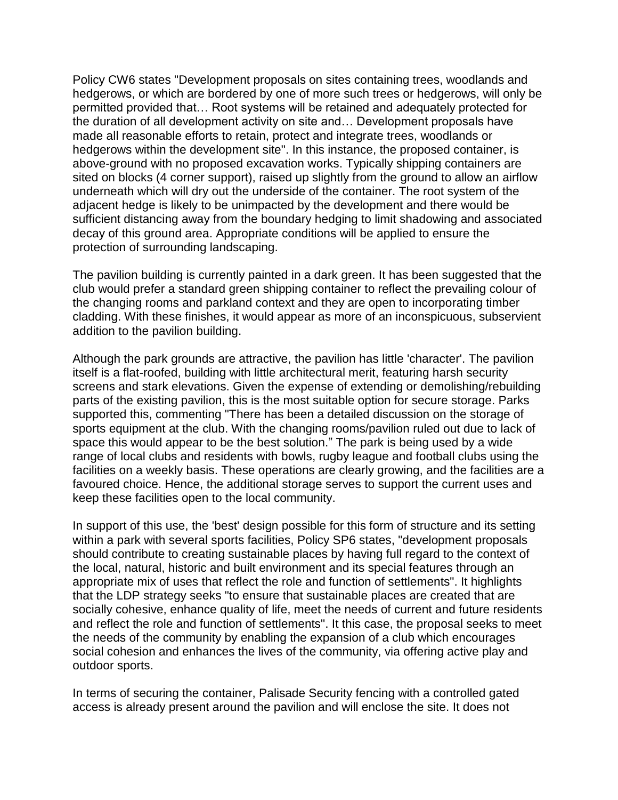Policy CW6 states "Development proposals on sites containing trees, woodlands and hedgerows, or which are bordered by one of more such trees or hedgerows, will only be permitted provided that… Root systems will be retained and adequately protected for the duration of all development activity on site and… Development proposals have made all reasonable efforts to retain, protect and integrate trees, woodlands or hedgerows within the development site". In this instance, the proposed container, is above-ground with no proposed excavation works. Typically shipping containers are sited on blocks (4 corner support), raised up slightly from the ground to allow an airflow underneath which will dry out the underside of the container. The root system of the adjacent hedge is likely to be unimpacted by the development and there would be sufficient distancing away from the boundary hedging to limit shadowing and associated decay of this ground area. Appropriate conditions will be applied to ensure the protection of surrounding landscaping.

The pavilion building is currently painted in a dark green. It has been suggested that the club would prefer a standard green shipping container to reflect the prevailing colour of the changing rooms and parkland context and they are open to incorporating timber cladding. With these finishes, it would appear as more of an inconspicuous, subservient addition to the pavilion building.

Although the park grounds are attractive, the pavilion has little 'character'. The pavilion itself is a flat-roofed, building with little architectural merit, featuring harsh security screens and stark elevations. Given the expense of extending or demolishing/rebuilding parts of the existing pavilion, this is the most suitable option for secure storage. Parks supported this, commenting "There has been a detailed discussion on the storage of sports equipment at the club. With the changing rooms/pavilion ruled out due to lack of space this would appear to be the best solution." The park is being used by a wide range of local clubs and residents with bowls, rugby league and football clubs using the facilities on a weekly basis. These operations are clearly growing, and the facilities are a favoured choice. Hence, the additional storage serves to support the current uses and keep these facilities open to the local community.

In support of this use, the 'best' design possible for this form of structure and its setting within a park with several sports facilities, Policy SP6 states, "development proposals should contribute to creating sustainable places by having full regard to the context of the local, natural, historic and built environment and its special features through an appropriate mix of uses that reflect the role and function of settlements". It highlights that the LDP strategy seeks "to ensure that sustainable places are created that are socially cohesive, enhance quality of life, meet the needs of current and future residents and reflect the role and function of settlements". It this case, the proposal seeks to meet the needs of the community by enabling the expansion of a club which encourages social cohesion and enhances the lives of the community, via offering active play and outdoor sports.

In terms of securing the container, Palisade Security fencing with a controlled gated access is already present around the pavilion and will enclose the site. It does not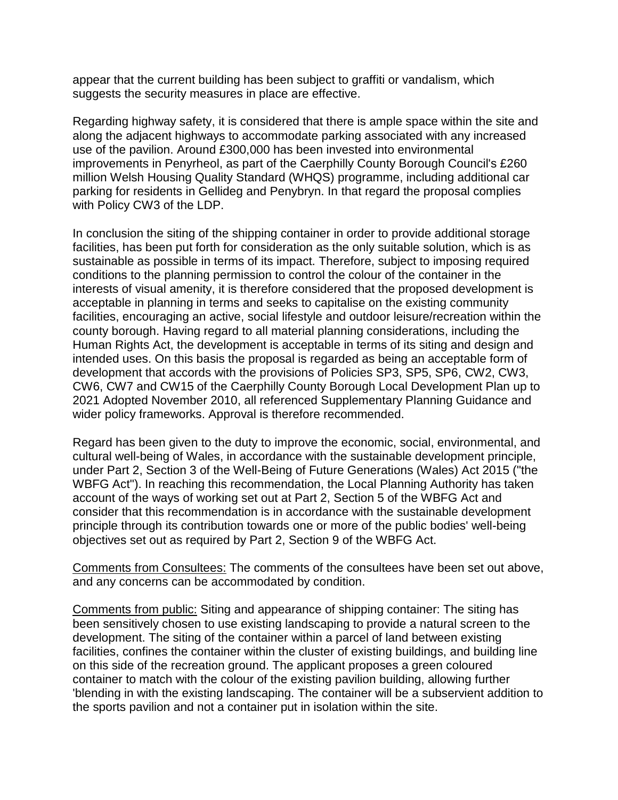appear that the current building has been subject to graffiti or vandalism, which suggests the security measures in place are effective.

Regarding highway safety, it is considered that there is ample space within the site and along the adjacent highways to accommodate parking associated with any increased use of the pavilion. Around £300,000 has been invested into environmental improvements in Penyrheol, as part of the Caerphilly County Borough Council's £260 million Welsh Housing Quality Standard (WHQS) programme, including additional car parking for residents in Gellideg and Penybryn. In that regard the proposal complies with Policy CW3 of the LDP.

In conclusion the siting of the shipping container in order to provide additional storage facilities, has been put forth for consideration as the only suitable solution, which is as sustainable as possible in terms of its impact. Therefore, subject to imposing required conditions to the planning permission to control the colour of the container in the interests of visual amenity, it is therefore considered that the proposed development is acceptable in planning in terms and seeks to capitalise on the existing community facilities, encouraging an active, social lifestyle and outdoor leisure/recreation within the county borough. Having regard to all material planning considerations, including the Human Rights Act, the development is acceptable in terms of its siting and design and intended uses. On this basis the proposal is regarded as being an acceptable form of development that accords with the provisions of Policies SP3, SP5, SP6, CW2, CW3, CW6, CW7 and CW15 of the Caerphilly County Borough Local Development Plan up to 2021 Adopted November 2010, all referenced Supplementary Planning Guidance and wider policy frameworks. Approval is therefore recommended.

Regard has been given to the duty to improve the economic, social, environmental, and cultural well-being of Wales, in accordance with the sustainable development principle, under Part 2, Section 3 of the Well-Being of Future Generations (Wales) Act 2015 ("the WBFG Act"). In reaching this recommendation, the Local Planning Authority has taken account of the ways of working set out at Part 2, Section 5 of the WBFG Act and consider that this recommendation is in accordance with the sustainable development principle through its contribution towards one or more of the public bodies' well-being objectives set out as required by Part 2, Section 9 of the WBFG Act.

Comments from Consultees: The comments of the consultees have been set out above, and any concerns can be accommodated by condition.

Comments from public: Siting and appearance of shipping container: The siting has been sensitively chosen to use existing landscaping to provide a natural screen to the development. The siting of the container within a parcel of land between existing facilities, confines the container within the cluster of existing buildings, and building line on this side of the recreation ground. The applicant proposes a green coloured container to match with the colour of the existing pavilion building, allowing further 'blending in with the existing landscaping. The container will be a subservient addition to the sports pavilion and not a container put in isolation within the site.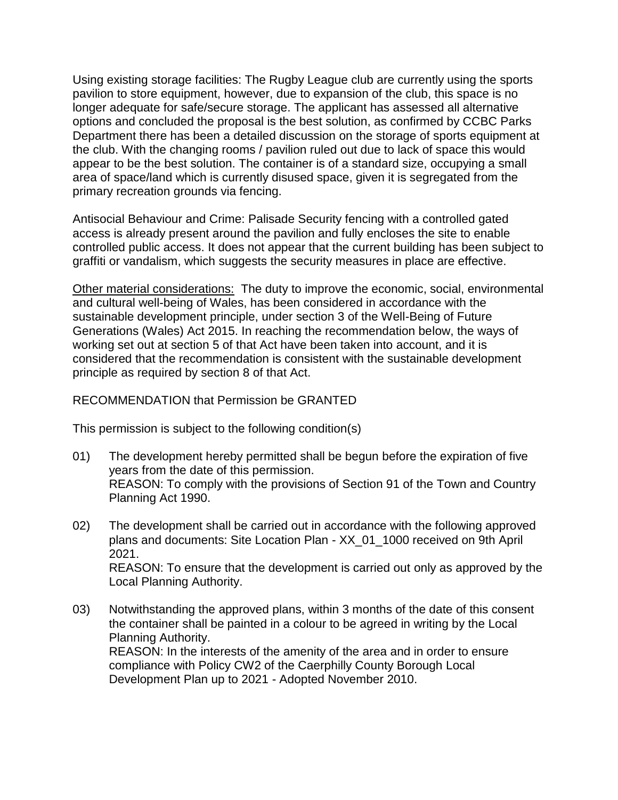Using existing storage facilities: The Rugby League club are currently using the sports pavilion to store equipment, however, due to expansion of the club, this space is no longer adequate for safe/secure storage. The applicant has assessed all alternative options and concluded the proposal is the best solution, as confirmed by CCBC Parks Department there has been a detailed discussion on the storage of sports equipment at the club. With the changing rooms / pavilion ruled out due to lack of space this would appear to be the best solution. The container is of a standard size, occupying a small area of space/land which is currently disused space, given it is segregated from the primary recreation grounds via fencing.

Antisocial Behaviour and Crime: Palisade Security fencing with a controlled gated access is already present around the pavilion and fully encloses the site to enable controlled public access. It does not appear that the current building has been subject to graffiti or vandalism, which suggests the security measures in place are effective.

Other material considerations: The duty to improve the economic, social, environmental and cultural well-being of Wales, has been considered in accordance with the sustainable development principle, under section 3 of the Well-Being of Future Generations (Wales) Act 2015. In reaching the recommendation below, the ways of working set out at section 5 of that Act have been taken into account, and it is considered that the recommendation is consistent with the sustainable development principle as required by section 8 of that Act.

# RECOMMENDATION that Permission be GRANTED

This permission is subject to the following condition(s)

- 01) The development hereby permitted shall be begun before the expiration of five years from the date of this permission. REASON: To comply with the provisions of Section 91 of the Town and Country Planning Act 1990.
- 02) The development shall be carried out in accordance with the following approved plans and documents: Site Location Plan - XX\_01\_1000 received on 9th April 2021. REASON: To ensure that the development is carried out only as approved by the Local Planning Authority.
- 03) Notwithstanding the approved plans, within 3 months of the date of this consent the container shall be painted in a colour to be agreed in writing by the Local Planning Authority. REASON: In the interests of the amenity of the area and in order to ensure compliance with Policy CW2 of the Caerphilly County Borough Local Development Plan up to 2021 - Adopted November 2010.